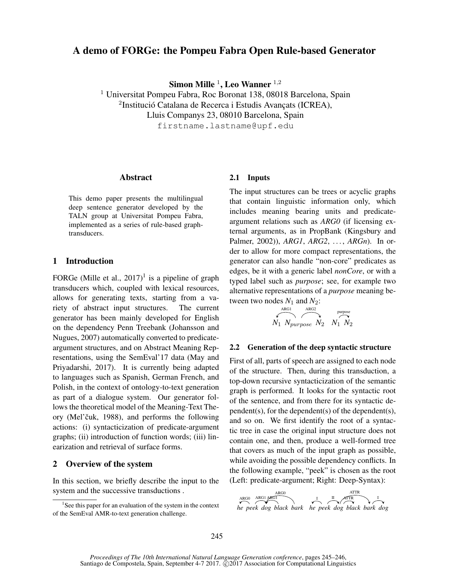# A demo of FORGe: the Pompeu Fabra Open Rule-based Generator

Simon Mille  $^1$ , Leo Wanner  $^{1,2}$ 

<sup>1</sup> Universitat Pompeu Fabra, Roc Boronat 138, 08018 Barcelona, Spain  $2$ Institució Catalana de Recerca i Estudis Avançats (ICREA), Lluis Companys 23, 08010 Barcelona, Spain firstname.lastname@upf.edu

## Abstract

This demo paper presents the multilingual deep sentence generator developed by the TALN group at Universitat Pompeu Fabra, implemented as a series of rule-based graphtransducers.

## 1 Introduction

FORGe (Mille et al.,  $2017$ )<sup>1</sup> is a pipeline of graph transducers which, coupled with lexical resources, allows for generating texts, starting from a variety of abstract input structures. The current generator has been mainly developed for English on the dependency Penn Treebank (Johansson and Nugues, 2007) automatically converted to predicateargument structures, and on Abstract Meaning Representations, using the SemEval'17 data (May and Priyadarshi, 2017). It is currently being adapted to languages such as Spanish, German French, and Polish, in the context of ontology-to-text generation as part of a dialogue system. Our generator follows the theoretical model of the Meaning-Text Theory (Mel'čuk, 1988), and performs the following actions: (i) syntacticization of predicate-argument graphs; (ii) introduction of function words; (iii) linearization and retrieval of surface forms.

# 2 Overview of the system

In this section, we briefly describe the input to the system and the successive transductions .

## 2.1 Inputs

The input structures can be trees or acyclic graphs that contain linguistic information only, which includes meaning bearing units and predicateargument relations such as *ARG0* (if licensing external arguments, as in PropBank (Kingsbury and Palmer, 2002)), *ARG1*, *ARG2*, . . . , *ARGn*). In order to allow for more compact representations, the generator can also handle "non-core" predicates as edges, be it with a generic label *nonCore*, or with a typed label such as *purpose*; see, for example two alternative representations of a *purpose* meaning between two nodes  $N_1$  and  $N_2$ :

$$
\overbrace{N_1 \ N_{purpose} \ N_2}^{\text{ARG1}} \overbrace{N_2}^{\text{prpose}} \overbrace{N_1 \ N_2}^{\text{purpose}}
$$

## 2.2 Generation of the deep syntactic structure

First of all, parts of speech are assigned to each node of the structure. Then, during this transduction, a top-down recursive syntacticization of the semantic graph is performed. It looks for the syntactic root of the sentence, and from there for its syntactic dependent(s), for the dependent(s) of the dependent(s), and so on. We first identify the root of a syntactic tree in case the original input structure does not contain one, and then, produce a well-formed tree that covers as much of the input graph as possible, while avoiding the possible dependency conflicts. In the following example, "peek" is chosen as the root (Left: predicate-argument; Right: Deep-Syntax):



<sup>&</sup>lt;sup>1</sup>See this paper for an evaluation of the system in the context of the SemEval AMR-to-text generation challenge.